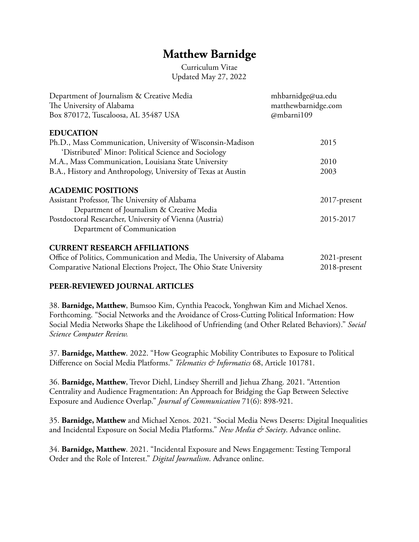# **Matthew Barnidge**

Curriculum Vitae Updated May 27, 2022

| Department of Journalism & Creative Media                         | mhbarnidge@ua.edu                 |
|-------------------------------------------------------------------|-----------------------------------|
| The University of Alabama<br>Box 870172, Tuscaloosa, AL 35487 USA | matthewbarnidge.com<br>@mbarni109 |
|                                                                   |                                   |
| Ph.D., Mass Communication, University of Wisconsin-Madison        | 2015                              |
| 'Distributed' Minor: Political Science and Sociology              |                                   |
| M.A., Mass Communication, Louisiana State University              | 2010                              |
| B.A., History and Anthropology, University of Texas at Austin     | 2003                              |
| <b>ACADEMIC POSITIONS</b>                                         |                                   |
| Assistant Professor, The University of Alabama                    | $2017$ -present                   |
| Department of Journalism & Creative Media                         |                                   |
| Postdoctoral Researcher, University of Vienna (Austria)           | 2015-2017                         |
| Department of Communication                                       |                                   |
| <b>CURRENT RESEARCH AFFILIATIONS</b>                              |                                   |
|                                                                   |                                   |

## Office of Politics, Communication and Media, The University of Alabama 2021-present Comparative National Elections Project, The Ohio State University 2018-present

### **PEER-REVIEWED JOURNAL ARTICLES**

38. **Barnidge, Matthew**, Bumsoo Kim, Cynthia Peacock, Yonghwan Kim and Michael Xenos. Forthcoming. "Social Networks and the Avoidance of Cross-Cutting Political Information: How Social Media Networks Shape the Likelihood of Unfriending (and Other Related Behaviors)." *Social Science Computer Review.* 

37. **Barnidge, Matthew**. 2022. "How Geographic Mobility Contributes to Exposure to Political Difference on Social Media Platforms." *Telematics & Informatics* 68, Article 101781.

36. **Barnidge, Matthew**, Trevor Diehl, Lindsey Sherrill and Jiehua Zhang. 2021. "Attention Centrality and Audience Fragmentation: An Approach for Bridging the Gap Between Selective Exposure and Audience Overlap." *Journal of Communication* 71(6): 898-921.

35. **Barnidge, Matthew** and Michael Xenos. 2021. "Social Media News Deserts: Digital Inequalities and Incidental Exposure on Social Media Platforms." *New Media & Society*. Advance online.

34. **Barnidge, Matthew**. 2021. "Incidental Exposure and News Engagement: Testing Temporal Order and the Role of Interest." *Digital Journalism*. Advance online.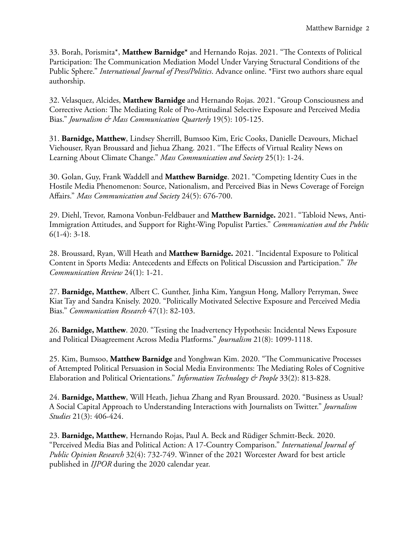33. Borah, Porismita\*, Matthew Barnidge\* and Hernando Rojas. 2021. "The Contexts of Political Participation: The Communication Mediation Model Under Varying Structural Conditions of the Public Sphere." *International Journal of Press/Politics*. Advance online. \*First two authors share equal authorship.

32. Velasquez, Alcides, **Matthew Barnidge** and Hernando Rojas. 2021. "Group Consciousness and Corrective Action: The Mediating Role of Pro-Attitudinal Selective Exposure and Perceived Media Bias." *Journalism & Mass Communication Quarterly* 19(5): 105-125.

31. **Barnidge, Matthew**, Lindsey Sherrill, Bumsoo Kim, Eric Cooks, Danielle Deavours, Michael Viehouser, Ryan Broussard and Jiehua Zhang. 2021. "The Effects of Virtual Reality News on Learning About Climate Change." *Mass Communication and Society* 25(1): 1-24.

30. Golan, Guy, Frank Waddell and **Matthew Barnidge**. 2021. "Competing Identity Cues in the Hostile Media Phenomenon: Source, Nationalism, and Perceived Bias in News Coverage of Foreign Affairs." *Mass Communication and Society* 24(5): 676-700.

29. Diehl, Trevor, Ramona Vonbun-Feldbauer and **Matthew Barnidge.** 2021. "Tabloid News, Anti-Immigration Attitudes, and Support for Right-Wing Populist Parties." *Communication and the Public*  6(1-4): 3-18*.*

28. Broussard, Ryan, Will Heath and **Matthew Barnidge.** 2021. "Incidental Exposure to Political Content in Sports Media: Antecedents and Effects on Political Discussion and Participation." *Te Communication Review* 24(1): 1-21.

27. **Barnidge, Matthew**, Albert C. Gunther, Jinha Kim, Yangsun Hong, Mallory Perryman, Swee Kiat Tay and Sandra Knisely. 2020. "Politically Motivated Selective Exposure and Perceived Media Bias." *Communication Research* 47(1): 82-103.

26. **Barnidge, Matthew**. 2020. "Testing the Inadvertency Hypothesis: Incidental News Exposure and Political Disagreement Across Media Platforms." *Journalism* 21(8): 1099-1118.

25. Kim, Bumsoo, Matthew Barnidge and Yonghwan Kim. 2020. "The Communicative Processes of Attempted Political Persuasion in Social Media Environments: The Mediating Roles of Cognitive Elaboration and Political Orientations." *Information Technology & People* 33(2): 813-828.

24. **Barnidge, Matthew**, Will Heath, Jiehua Zhang and Ryan Broussard. 2020. "Business as Usual? A Social Capital Approach to Understanding Interactions with Journalists on Twitter." *Journalism Studies* 21(3): 406-424.

23. **Barnidge, Matthew**, Hernando Rojas, Paul A. Beck and Rüdiger Schmitt-Beck. 2020. "Perceived Media Bias and Political Action: A 17-Country Comparison." *International Journal of Public Opinion Research* 32(4): 732-749. Winner of the 2021 Worcester Award for best article published in *IJPOR* during the 2020 calendar year.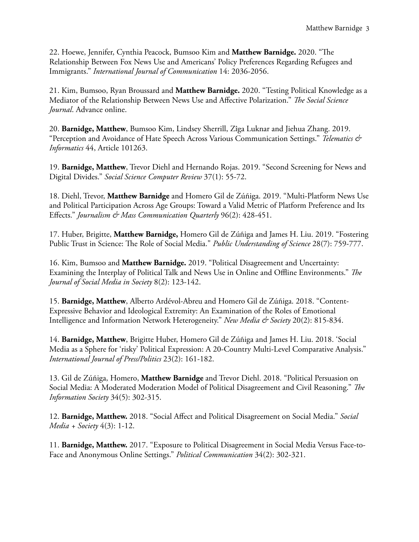22. Hoewe, Jennifer, Cynthia Peacock, Bumsoo Kim and **Matthew Barnidge.** 2020. "Te Relationship Between Fox News Use and Americans' Policy Preferences Regarding Refugees and Immigrants." *International Journal of Communication* 14: 2036-2056.

21. Kim, Bumsoo, Ryan Broussard and **Matthew Barnidge.** 2020. "Testing Political Knowledge as a Mediator of the Relationship Between News Use and Affective Polarization." *Te Social Science Journal*. Advance online.

20. **Barnidge, Matthew**, Bumsoo Kim, Lindsey Sherrill, Zîga Luknar and Jiehua Zhang. 2019. "Perception and Avoidance of Hate Speech Across Various Communication Settings." *Telematics & Informatics* 44, Article 101263.

19. **Barnidge, Matthew**, Trevor Diehl and Hernando Rojas. 2019. "Second Screening for News and Digital Divides." *Social Science Computer Review* 37(1): 55-72.

18. Diehl, Trevor, **Matthew Barnidge** and Homero Gil de Zúñiga. 2019. "Multi-Platform News Use and Political Participation Across Age Groups: Toward a Valid Metric of Platform Preference and Its Effects." *Journalism & Mass Communication Quarterly* 96(2): 428-451.

17. Huber, Brigitte, **Matthew Barnidge,** Homero Gil de Zúñiga and James H. Liu. 2019. "Fostering Public Trust in Science: The Role of Social Media." *Public Understanding of Science* 28(7): 759-777.

16. Kim, Bumsoo and **Matthew Barnidge.** 2019. "Political Disagreement and Uncertainty: Examining the Interplay of Political Talk and News Use in Online and Offline Environments." *Te Journal of Social Media in Society* 8(2): 123-142.

15. **Barnidge, Matthew**, Alberto Ardévol-Abreu and Homero Gil de Zúñiga. 2018. "Content-Expressive Behavior and Ideological Extremity: An Examination of the Roles of Emotional Intelligence and Information Network Heterogeneity." *New Media & Society* 20(2): 815-834.

14. **Barnidge, Matthew**, Brigitte Huber, Homero Gil de Zúñiga and James H. Liu. 2018. 'Social Media as a Sphere for 'risky' Political Expression: A 20-Country Multi-Level Comparative Analysis." *International Journal of Press/Politics* 23(2): 161-182.

13. Gil de Zúñiga, Homero, **Matthew Barnidge** and Trevor Diehl. 2018. "Political Persuasion on Social Media: A Moderated Moderation Model of Political Disagreement and Civil Reasoning." *Te Information Society* 34(5): 302-315.

12. **Barnidge, Matthew.** 2018. "Social Affect and Political Disagreement on Social Media." *Social Media + Society* 4(3): 1-12.

11. **Barnidge, Matthew.** 2017. "Exposure to Political Disagreement in Social Media Versus Face-to-Face and Anonymous Online Settings." *Political Communication* 34(2): 302-321.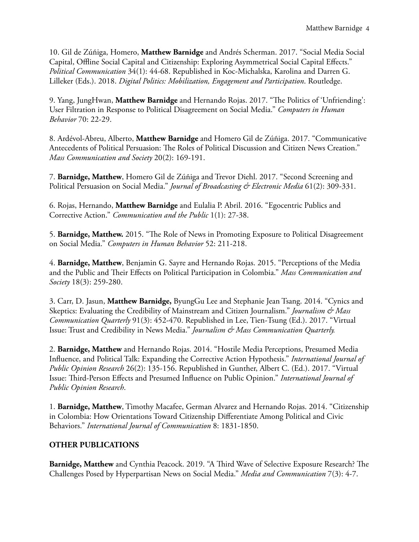10. Gil de Zúñiga, Homero, **Matthew Barnidge** and Andrés Scherman. 2017. "Social Media Social Capital, Offline Social Capital and Citizenship: Exploring Asymmetrical Social Capital Effects." *Political Communication* 34(1): 44-68. Republished in Koc-Michalska, Karolina and Darren G. Lilleker (Eds.). 2018. *Digital Politics: Mobilization, Engagement and Participation*. Routledge.

9. Yang, JungHwan, Matthew Barnidge and Hernando Rojas. 2017. "The Politics of 'Unfriending': User Filtration in Response to Political Disagreement on Social Media." *Computers in Human Behavior* 70: 22-29.

8. Ardévol-Abreu, Alberto, **Matthew Barnidge** and Homero Gil de Zúñiga. 2017. "Communicative Antecedents of Political Persuasion: The Roles of Political Discussion and Citizen News Creation." *Mass Communication and Society* 20(2): 169-191.

7. **Barnidge, Matthew**, Homero Gil de Zúñiga and Trevor Diehl. 2017. "Second Screening and Political Persuasion on Social Media." *Journal of Broadcasting & Electronic Media* 61(2): 309-331.

6. Rojas, Hernando, **Matthew Barnidge** and Eulalia P. Abril. 2016. "Egocentric Publics and Corrective Action." *Communication and the Public* 1(1): 27-38.

5. **Barnidge, Matthew.** 2015. "The Role of News in Promoting Exposure to Political Disagreement on Social Media." *Computers in Human Behavior* 52: 211-218.

4. **Barnidge, Matthew**, Benjamin G. Sayre and Hernando Rojas. 2015. "Perceptions of the Media and the Public and Their Effects on Political Participation in Colombia." Mass Communication and *Society* 18(3): 259-280.

3. Carr, D. Jasun, **Matthew Barnidge,** ByungGu Lee and Stephanie Jean Tsang. 2014. "Cynics and Skeptics: Evaluating the Credibility of Mainstream and Citizen Journalism." *Journalism & Mass Communication Quarterly* 91(3): 452-470. Republished in Lee, Tien-Tsung (Ed.). 2017. "Virtual Issue: Trust and Credibility in News Media." *Journalism & Mass Communication Quarterly.* 

2. **Barnidge, Matthew** and Hernando Rojas. 2014. "Hostile Media Perceptions, Presumed Media Infuence, and Political Talk: Expanding the Corrective Action Hypothesis." *International Journal of Public Opinion Research* 26(2): 135-156. Republished in Gunther, Albert C. (Ed.). 2017. "Virtual Issue: Tird-Person Effects and Presumed Infuence on Public Opinion." *International Journal of Public Opinion Research*.

1. **Barnidge, Matthew**, Timothy Macafee, German Alvarez and Hernando Rojas. 2014. "Citizenship in Colombia: How Orientations Toward Citizenship Differentiate Among Political and Civic Behaviors." *International Journal of Communication* 8: 1831-1850.

## **OTHER PUBLICATIONS**

**Barnidge, Matthew** and Cynthia Peacock. 2019. "A Third Wave of Selective Exposure Research? The Challenges Posed by Hyperpartisan News on Social Media." *Media and Communication* 7(3): 4-7.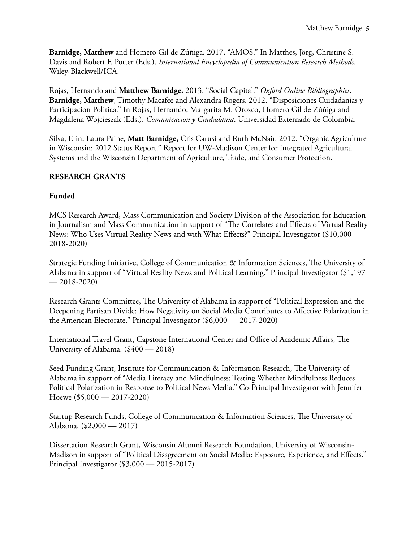**Barnidge, Matthew** and Homero Gil de Zúñiga. 2017. "AMOS." In Matthes, Jörg, Christine S. Davis and Robert F. Potter (Eds.). *International Encyclopedia of Communication Research Methods*. Wiley-Blackwell/ICA.

Rojas, Hernando and **Matthew Barnidge.** 2013. "Social Capital." *Oxford Online Bibliographies*. **Barnidge, Matthew**, Timothy Macafee and Alexandra Rogers. 2012. "Disposiciones Cuidadanias y Participacion Politica." In Rojas, Hernando, Margarita M. Orozco, Homero Gil de Zúñiga and Magdalena Wojcieszak (Eds.). *Comunicacion y Ciudadania*. Universidad Externado de Colombia.

Silva, Erin, Laura Paine, **Matt Barnidge,** Cris Carusi and Ruth McNair. 2012. "Organic Agriculture in Wisconsin: 2012 Status Report." Report for UW-Madison Center for Integrated Agricultural Systems and the Wisconsin Department of Agriculture, Trade, and Consumer Protection.

## **RESEARCH GRANTS**

### **Funded**

MCS Research Award, Mass Communication and Society Division of the Association for Education in Journalism and Mass Communication in support of "The Correlates and Effects of Virtual Reality News: Who Uses Virtual Reality News and with What Effects?" Principal Investigator (\$10,000 — 2018-2020)

Strategic Funding Initiative, College of Communication & Information Sciences, The University of Alabama in support of "Virtual Reality News and Political Learning." Principal Investigator (\$1,197  $-2018-2020$ 

Research Grants Committee, The University of Alabama in support of "Political Expression and the Deepening Partisan Divide: How Negativity on Social Media Contributes to Affective Polarization in the American Electorate." Principal Investigator (\$6,000 — 2017-2020)

International Travel Grant, Capstone International Center and Office of Academic Affairs, The University of Alabama. (\$400 — 2018)

Seed Funding Grant, Institute for Communication & Information Research, The University of Alabama in support of "Media Literacy and Mindfulness: Testing Whether Mindfulness Reduces Political Polarization in Response to Political News Media." Co-Principal Investigator with Jennifer Hoewe (\$5,000 — 2017-2020)

Startup Research Funds, College of Communication & Information Sciences, The University of Alabama. (\$2,000 — 2017)

Dissertation Research Grant, Wisconsin Alumni Research Foundation, University of Wisconsin-Madison in support of "Political Disagreement on Social Media: Exposure, Experience, and Effects." Principal Investigator (\$3,000 — 2015-2017)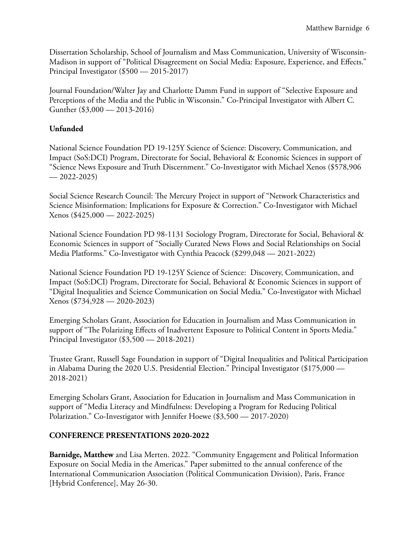Dissertation Scholarship, School of Journalism and Mass Communication, University of Wisconsin-Madison in support of "Political Disagreement on Social Media: Exposure, Experience, and Effects." Principal Investigator (\$500 — 2015-2017)

Journal Foundation/Walter Jay and Charlotte Damm Fund in support of "Selective Exposure and Perceptions of the Media and the Public in Wisconsin." Co-Principal Investigator with Albert C. Gunther (\$3,000 — 2013-2016)

## **Unfunded**

National Science Foundation PD 19-125Y Science of Science: Discovery, Communication, and Impact (SoS:DCI) Program, Directorate for Social, Behavioral & Economic Sciences in support of "Science News Exposure and Truth Discernment." Co-Investigator with Michael Xenos (\$578,906  $-2022 - 2025$ 

Social Science Research Council: The Mercury Project in support of "Network Characteristics and Science Misinformation: Implications for Exposure & Correction." Co-Investigator with Michael Xenos (\$425,000 — 2022-2025)

National Science Foundation PD 98-1131 Sociology Program, Directorate for Social, Behavioral & Economic Sciences in support of "Socially Curated News Flows and Social Relationships on Social Media Platforms." Co-Investigator with Cynthia Peacock (\$299,048 — 2021-2022)

National Science Foundation PD 19-125Y Science of Science: Discovery, Communication, and Impact (SoS:DCI) Program, Directorate for Social, Behavioral & Economic Sciences in support of "Digital Inequalities and Science Communication on Social Media." Co-Investigator with Michael Xenos (\$734,928 — 2020-2023)

Emerging Scholars Grant, Association for Education in Journalism and Mass Communication in support of "The Polarizing Effects of Inadvertent Exposure to Political Content in Sports Media." Principal Investigator (\$3,500 — 2018-2021)

Trustee Grant, Russell Sage Foundation in support of "Digital Inequalities and Political Participation in Alabama During the 2020 U.S. Presidential Election." Principal Investigator (\$175,000 — 2018-2021)

Emerging Scholars Grant, Association for Education in Journalism and Mass Communication in support of "Media Literacy and Mindfulness: Developing a Program for Reducing Political Polarization." Co-Investigator with Jennifer Hoewe (\$3,500 — 2017-2020)

### **CONFERENCE PRESENTATIONS 2020-2022**

**Barnidge, Matthew** and Lisa Merten. 2022. "Community Engagement and Political Information Exposure on Social Media in the Americas." Paper submitted to the annual conference of the International Communication Association (Political Communication Division), Paris, France [Hybrid Conference], May 26-30.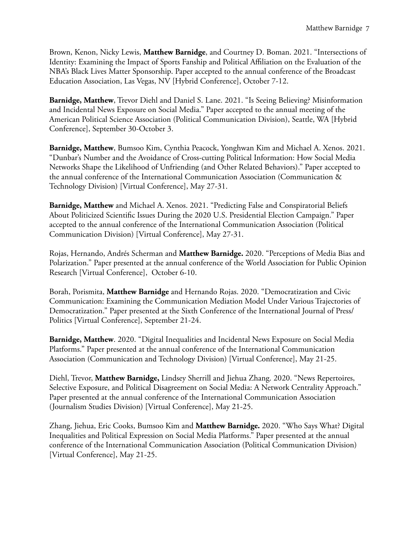Brown, Kenon, Nicky Lewis, **Matthew Barnidge**, and Courtney D. Boman. 2021. "Intersections of Identity: Examining the Impact of Sports Fanship and Political Affiliation on the Evaluation of the NBA's Black Lives Matter Sponsorship. Paper accepted to the annual conference of the Broadcast Education Association, Las Vegas, NV [Hybrid Conference], October 7-12.

**Barnidge, Matthew**, Trevor Diehl and Daniel S. Lane. 2021. "Is Seeing Believing? Misinformation and Incidental News Exposure on Social Media." Paper accepted to the annual meeting of the American Political Science Association (Political Communication Division), Seattle, WA [Hybrid Conference], September 30-October 3.

**Barnidge, Matthew**, Bumsoo Kim, Cynthia Peacock, Yonghwan Kim and Michael A. Xenos. 2021. "Dunbar's Number and the Avoidance of Cross-cutting Political Information: How Social Media Networks Shape the Likelihood of Unfriending (and Other Related Behaviors)." Paper accepted to the annual conference of the International Communication Association (Communication & Technology Division) [Virtual Conference], May 27-31.

**Barnidge, Matthew** and Michael A. Xenos. 2021. "Predicting False and Conspiratorial Beliefs About Politicized Scientifc Issues During the 2020 U.S. Presidential Election Campaign." Paper accepted to the annual conference of the International Communication Association (Political Communication Division) [Virtual Conference], May 27-31.

Rojas, Hernando, Andrés Scherman and **Matthew Barnidge.** 2020. "Perceptions of Media Bias and Polarization." Paper presented at the annual conference of the World Association for Public Opinion Research [Virtual Conference], October 6-10.

Borah, Porismita, **Matthew Barnidge** and Hernando Rojas. 2020. "Democratization and Civic Communication: Examining the Communication Mediation Model Under Various Trajectories of Democratization." Paper presented at the Sixth Conference of the International Journal of Press/ Politics [Virtual Conference], September 21-24.

**Barnidge, Matthew**. 2020. "Digital Inequalities and Incidental News Exposure on Social Media Platforms." Paper presented at the annual conference of the International Communication Association (Communication and Technology Division) [Virtual Conference], May 21-25.

Diehl, Trevor, **Matthew Barnidge,** Lindsey Sherrill and Jiehua Zhang. 2020. "News Repertoires, Selective Exposure, and Political Disagreement on Social Media: A Network Centrality Approach." Paper presented at the annual conference of the International Communication Association (Journalism Studies Division) [Virtual Conference], May 21-25.

Zhang, Jiehua, Eric Cooks, Bumsoo Kim and **Matthew Barnidge.** 2020. "Who Says What? Digital Inequalities and Political Expression on Social Media Platforms." Paper presented at the annual conference of the International Communication Association (Political Communication Division) [Virtual Conference], May 21-25.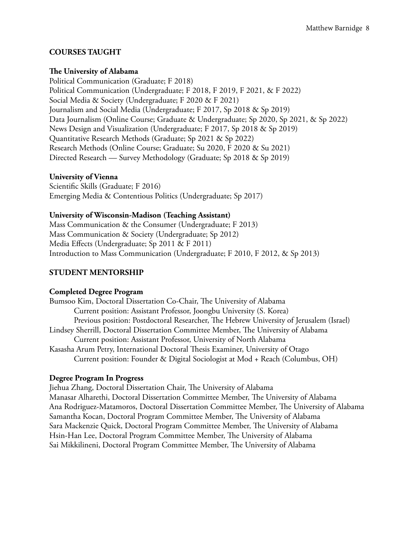### **COURSES TAUGHT**

#### **Te University of Alabama**

Political Communication (Graduate; F 2018) Political Communication (Undergraduate; F 2018, F 2019, F 2021, & F 2022) Social Media & Society (Undergraduate; F 2020 & F 2021) Journalism and Social Media (Undergraduate; F 2017, Sp 2018 & Sp 2019) Data Journalism (Online Course; Graduate & Undergraduate; Sp 2020, Sp 2021, & Sp 2022) News Design and Visualization (Undergraduate; F 2017, Sp 2018 & Sp 2019) Quantitative Research Methods (Graduate; Sp 2021 & Sp 2022) Research Methods (Online Course; Graduate; Su 2020, F 2020 & Su 2021) Directed Research — Survey Methodology (Graduate; Sp 2018 & Sp 2019)

#### **University of Vienna**

Scientifc Skills (Graduate; F 2016) Emerging Media & Contentious Politics (Undergraduate; Sp 2017)

### **University of Wisconsin-Madison (Teaching Assistant)**

Mass Communication & the Consumer (Undergraduate; F 2013) Mass Communication & Society (Undergraduate; Sp 2012) Media Effects (Undergraduate; Sp 2011 & F 2011) Introduction to Mass Communication (Undergraduate; F 2010, F 2012, & Sp 2013)

## **STUDENT MENTORSHIP**

### **Completed Degree Program**

Bumsoo Kim, Doctoral Dissertation Co-Chair, The University of Alabama Current position: Assistant Professor, Joongbu University (S. Korea) Previous position: Postdoctoral Researcher, The Hebrew University of Jerusalem (Israel) Lindsey Sherrill, Doctoral Dissertation Committee Member, The University of Alabama Current position: Assistant Professor, University of North Alabama Kasasha Arum Petry, International Doctoral Thesis Examiner, University of Otago Current position: Founder & Digital Sociologist at Mod + Reach (Columbus, OH)

#### **Degree Program In Progress**

Jiehua Zhang, Doctoral Dissertation Chair, The University of Alabama Manasar Alharethi, Doctoral Dissertation Committee Member, The University of Alabama Ana Rodriguez-Matamoros, Doctoral Dissertation Committee Member, The University of Alabama Samantha Kocan, Doctoral Program Committee Member, The University of Alabama Sara Mackenzie Quick, Doctoral Program Committee Member, The University of Alabama Hsin-Han Lee, Doctoral Program Committee Member, The University of Alabama Sai Mikkilineni, Doctoral Program Committee Member, The University of Alabama